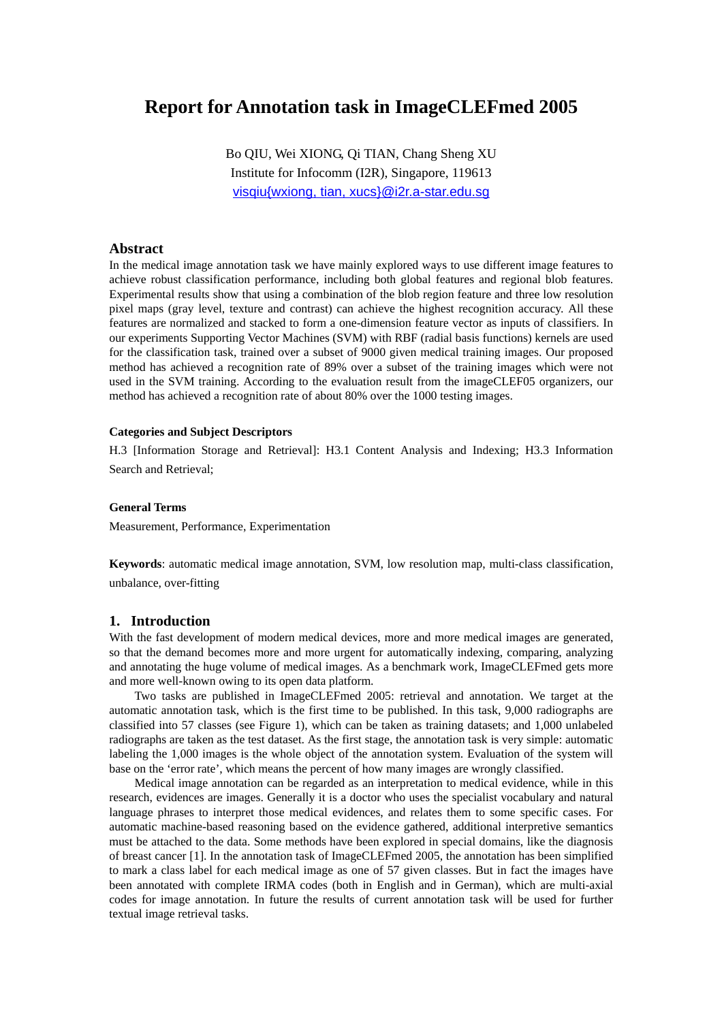# **Report for Annotation task in ImageCLEFmed 2005**

Bo QIU, Wei XIONG, Qi TIAN, Chang Sheng XU Institute for Infocomm (I2R), Singapore, 119613 [visqiu{wxiong, tian, xucs}@i2r.a-star.edu.sg](mailto:visqiu{wxiong, tian, xucs}@i2r.a-star.edu.sg)

# **Abstract**

In the medical image annotation task we have mainly explored ways to use different image features to achieve robust classification performance, including both global features and regional blob features. Experimental results show that using a combination of the blob region feature and three low resolution pixel maps (gray level, texture and contrast) can achieve the highest recognition accuracy. All these features are normalized and stacked to form a one-dimension feature vector as inputs of classifiers. In our experiments Supporting Vector Machines (SVM) with RBF (radial basis functions) kernels are used for the classification task, trained over a subset of 9000 given medical training images. Our proposed method has achieved a recognition rate of 89% over a subset of the training images which were not used in the SVM training. According to the evaluation result from the imageCLEF05 organizers, our method has achieved a recognition rate of about 80% over the 1000 testing images.

# **Categories and Subject Descriptors**

H.3 [Information Storage and Retrieval]: H3.1 Content Analysis and Indexing; H3.3 Information Search and Retrieval;

## **General Terms**

Measurement, Performance, Experimentation

**Keywords**: automatic medical image annotation, SVM, low resolution map, multi-class classification, unbalance, over-fitting

## **1. Introduction**

With the fast development of modern medical devices, more and more medical images are generated, so that the demand becomes more and more urgent for automatically indexing, comparing, analyzing and annotating the huge volume of medical images. As a benchmark work, ImageCLEFmed gets more and more well-known owing to its open data platform.

Two tasks are published in ImageCLEFmed 2005: retrieval and annotation. We target at the automatic annotation task, which is the first time to be published. In this task, 9,000 radiographs are classified into 57 classes (see [Figure 1\)](#page-6-0), which can be taken as training datasets; and 1,000 unlabeled radiographs are taken as the test dataset. As the first stage, the annotation task is very simple: automatic labeling the 1,000 images is the whole object of the annotation system. Evaluation of the system will base on the 'error rate', which means the percent of how many images are wrongly classified.

Medical image annotation can be regarded as an interpretation to medical evidence, while in this research, evidences are images. Generally it is a doctor who uses the specialist vocabulary and natural language phrases to interpret those medical evidences, and relates them to some specific cases. For automatic machine-based reasoning based on the evidence gathered, additional interpretive semantics must be attached to the data. Some methods have been explored in special domains, like the diagnosis of breast cancer [\[1\].](#page-5-0) In the annotation task of ImageCLEFmed 2005, the annotation has been simplified to mark a class label for each medical image as one of 57 given classes. But in fact the images have been annotated with complete IRMA codes (both in English and in German), which are multi-axial codes for image annotation. In future the results of current annotation task will be used for further textual image retrieval tasks.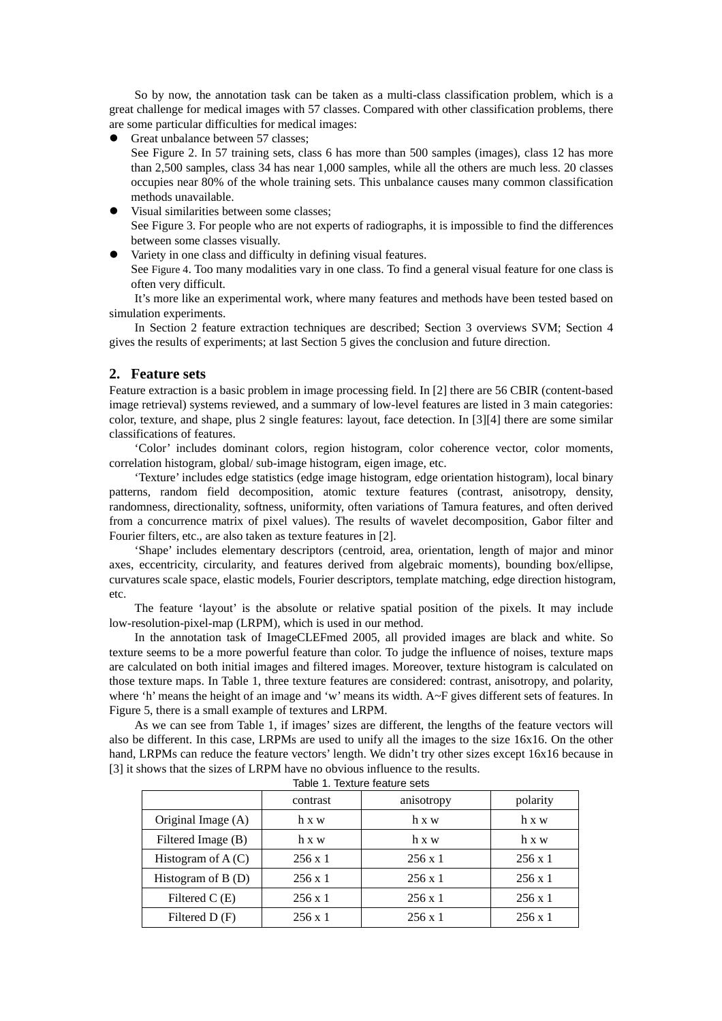So by now, the annotation task can be taken as a multi-class classification problem, which is a great challenge for medical images with 57 classes. Compared with other classification problems, there are some particular difficulties for medical images:

Great unbalance between 57 classes;

 See [Figure 2.](#page-6-1) In 57 training sets, class 6 has more than 500 samples (images), class 12 has more than 2,500 samples, class 34 has near 1,000 samples, while all the others are much less. 20 classes occupies near 80% of the whole training sets. This unbalance causes many common classification methods unavailable.

- Visual similarities between some classes; See [Figure 3.](#page-7-0) For people who are not experts of radiographs, it is impossible to find the differences between some classes visually.
- Variety in one class and difficulty in defining visual features.

See [Figure 4.](#page-7-1) Too many modalities vary in one class. To find a general visual feature for one class is often very difficult.

It's more like an experimental work, where many features and methods have been tested based on simulation experiments.

In Section 2 feature extraction techniques are described; Section 3 overviews SVM; Section 4 gives the results of experiments; at last Section 5 gives the conclusion and future direction.

# **2. Feature sets**

Feature extraction is a basic problem in image processing field. In [\[2\]](#page-5-1) there are 56 CBIR (content-based image retrieval) systems reviewed, and a summary of low-level features are listed in 3 main categories: color, texture, and shape, plus 2 single features: layout, face detection. In [\[3\]](#page-5-2)[\[4\]](#page-5-3) there are some similar classifications of features.

'Color' includes dominant colors, region histogram, color coherence vector, color moments, correlation histogram, global/ sub-image histogram, eigen image, etc.

'Texture' includes edge statistics (edge image histogram, edge orientation histogram), local binary patterns, random field decomposition, atomic texture features (contrast, anisotropy, density, randomness, directionality, softness, uniformity, often variations of Tamura features, and often derived from a concurrence matrix of pixel values). The results of wavelet decomposition, Gabor filter and Fourier filters, etc., are also taken as texture features in [\[2\].](#page-5-1)

'Shape' includes elementary descriptors (centroid, area, orientation, length of major and minor axes, eccentricity, circularity, and features derived from algebraic moments), bounding box/ellipse, curvatures scale space, elastic models, Fourier descriptors, template matching, edge direction histogram, etc.

The feature 'layout' is the absolute or relative spatial position of the pixels. It may include low-resolution-pixel-map (LRPM), which is used in our method.

In the annotation task of ImageCLEFmed 2005, all provided images are black and white. So texture seems to be a more powerful feature than color. To judge the influence of noises, texture maps are calculated on both initial images and filtered images. Moreover, texture histogram is calculated on those texture maps. In [Table 1,](#page-1-0) three texture features are considered: contrast, anisotropy, and polarity, where 'h' means the height of an image and 'w' means its width. A~F gives different sets of features. In [Figure 5,](#page-7-2) there is a small example of textures and LRPM.

As we can see from [Table 1,](#page-1-0) if images' sizes are different, the lengths of the feature vectors will also be different. In this case, LRPMs are used to unify all the images to the size 16x16. On the other hand, LRPMs can reduce the feature vectors' length. We didn't try other sizes except 16x16 because in [\[3\]](#page-5-2) it shows that the sizes of LRPM have no obvious influence to the results.

|                     | contrast       | anisotropy     | polarity       |  |
|---------------------|----------------|----------------|----------------|--|
| Original Image (A)  | h x w          | h x w          | h x w          |  |
| Filtered Image (B)  | h x w          | h x w          | h x w          |  |
| Histogram of $A(C)$ | $256 \times 1$ | $256 \times 1$ | $256 \times 1$ |  |
| Histogram of $B(D)$ | $256 \times 1$ | $256 \times 1$ | $256 \times 1$ |  |
| Filtered C $(E)$    | $256 \times 1$ | $256 \times 1$ | $256 \times 1$ |  |
| Filtered D (F)      | $256 \times 1$ | $256 \times 1$ | $256 \times 1$ |  |

<span id="page-1-0"></span>an.<br>Table 1. Textur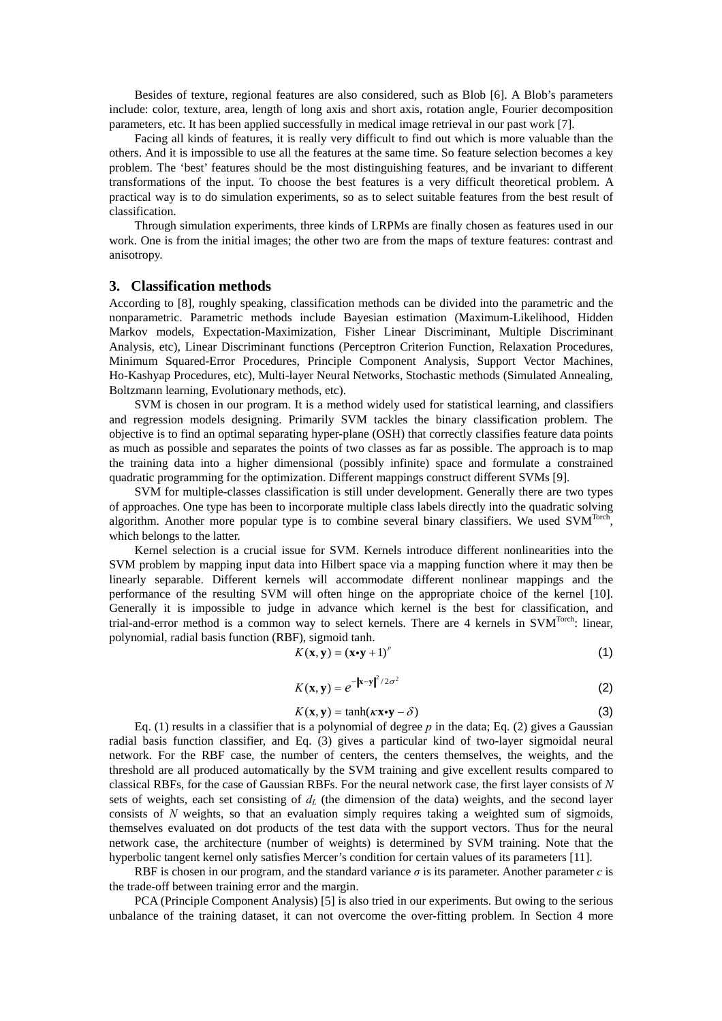Besides of texture, regional features are also considered, such as Blob [\[6\].](#page-5-4) A Blob's parameters include: color, texture, area, length of long axis and short axis, rotation angle, Fourier decomposition parameters, etc. It has been applied successfully in medical image retrieval in our past work [\[7\].](#page-5-5)

Facing all kinds of features, it is really very difficult to find out which is more valuable than the others. And it is impossible to use all the features at the same time. So feature selection becomes a key problem. The 'best' features should be the most distinguishing features, and be invariant to different transformations of the input. To choose the best features is a very difficult theoretical problem. A practical way is to do simulation experiments, so as to select suitable features from the best result of classification.

Through simulation experiments, three kinds of LRPMs are finally chosen as features used in our work. One is from the initial images; the other two are from the maps of texture features: contrast and anisotropy.

# **3. Classification methods**

According to [\[8\],](#page-5-6) roughly speaking, classification methods can be divided into the parametric and the nonparametric. Parametric methods include Bayesian estimation (Maximum-Likelihood, Hidden Markov models, Expectation-Maximization, Fisher Linear Discriminant, Multiple Discriminant Analysis, etc), Linear Discriminant functions (Perceptron Criterion Function, Relaxation Procedures, Minimum Squared-Error Procedures, Principle Component Analysis, Support Vector Machines, Ho-Kashyap Procedures, etc), Multi-layer Neural Networks, Stochastic methods (Simulated Annealing, Boltzmann learning, Evolutionary methods, etc).

SVM is chosen in our program. It is a method widely used for statistical learning, and classifiers and regression models designing. Primarily SVM tackles the binary classification problem. The objective is to find an optimal separating hyper-plane (OSH) that correctly classifies feature data points as much as possible and separates the points of two classes as far as possible. The approach is to map the training data into a higher dimensional (possibly infinite) space and formulate a constrained quadratic programming for the optimization. Different mappings construct different SVMs [\[9\].](#page-5-7)

SVM for multiple-classes classification is still under development. Generally there are two types of approaches. One type has been to incorporate multiple class labels directly into the quadratic solving algorithm. Another more popular type is to combine several binary classifiers. We used SVM<sup>Torch</sup>, which belongs to the latter.

Kernel selection is a crucial issue for SVM. Kernels introduce different nonlinearities into the SVM problem by mapping input data into Hilbert space via a mapping function where it may then be linearly separable. Different kernels will accommodate different nonlinear mappings and the performance of the resulting SVM will often hinge on the appropriate choice of the kernel [\[10\].](#page-5-8) Generally it is impossible to judge in advance which kernel is the best for classification, and trial-and-error method is a common way to select kernels. There are 4 kernels in SVM<sup>Torch</sup>: linear, polynomial, radial basis function (RBF), sigmoid tanh.

$$
K(\mathbf{x}, \mathbf{y}) = (\mathbf{x} \cdot \mathbf{y} + 1)^p \tag{1}
$$

$$
K(\mathbf{x}, \mathbf{y}) = e^{-\|\mathbf{x} - \mathbf{y}\|^2 / 2\sigma^2}
$$
 (2)

$$
K(\mathbf{x}, \mathbf{y}) = \tanh(\kappa \mathbf{x} \cdot \mathbf{y} - \delta) \tag{3}
$$

Eq. (1) results in a classifier that is a polynomial of degree  $p$  in the data; Eq. (2) gives a Gaussian radial basis function classifier, and Eq. (3) gives a particular kind of two-layer sigmoidal neural network. For the RBF case, the number of centers, the centers themselves, the weights, and the threshold are all produced automatically by the SVM training and give excellent results compared to classical RBFs, for the case of Gaussian RBFs. For the neural network case, the first layer consists of *N* sets of weights, each set consisting of  $d<sub>L</sub>$  (the dimension of the data) weights, and the second layer consists of *N* weights, so that an evaluation simply requires taking a weighted sum of sigmoids, themselves evaluated on dot products of the test data with the support vectors. Thus for the neural network case, the architecture (number of weights) is determined by SVM training. Note that the hyperbolic tangent kernel only satisfies Mercer's condition for certain values of its parameters [\[11\].](#page-5-9)

RBF is chosen in our program, and the standard variance *σ* is its parameter. Another parameter *c* is the trade-off between training error and the margin.

PCA (Principle Component Analysis) [\[5\]](#page-5-10) is also tried in our experiments. But owing to the serious unbalance of the training dataset, it can not overcome the over-fitting problem. In Section 4 more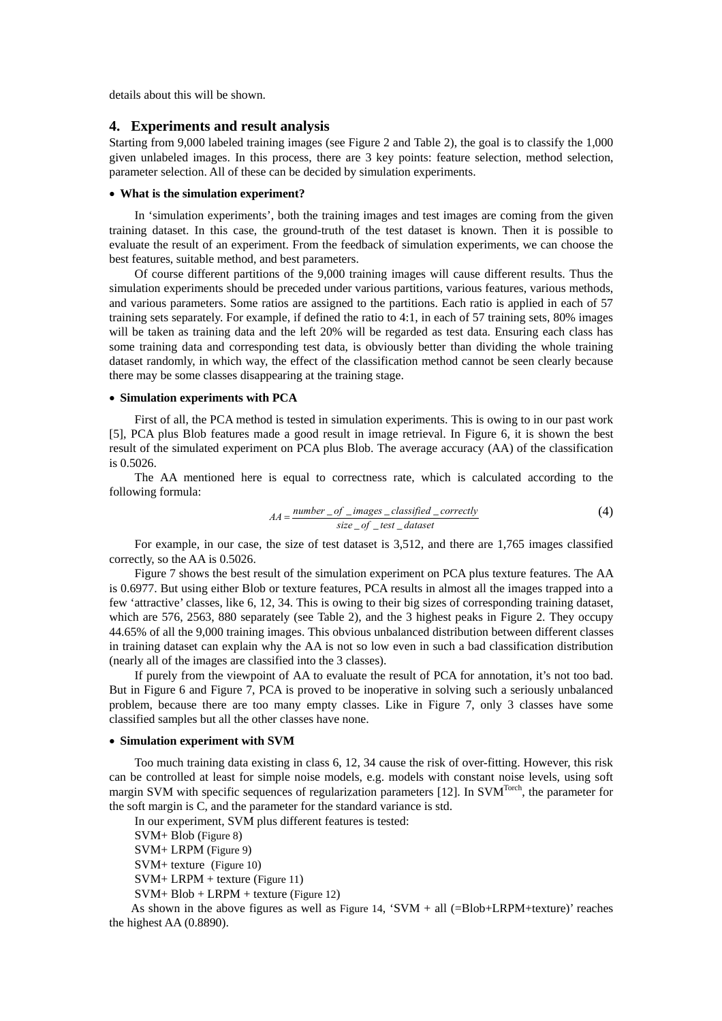details about this will be shown.

# **4. Experiments and result analysis**

Starting from 9,000 labeled training images (see [Figure](#page-6-1) 2 and [Table 2\)](#page-10-0), the goal is to classify the 1,000 given unlabeled images. In this process, there are 3 key points: feature selection, method selection, parameter selection. All of these can be decided by simulation experiments.

# • **What is the simulation experiment?**

In 'simulation experiments', both the training images and test images are coming from the given training dataset. In this case, the ground-truth of the test dataset is known. Then it is possible to evaluate the result of an experiment. From the feedback of simulation experiments, we can choose the best features, suitable method, and best parameters.

Of course different partitions of the 9,000 training images will cause different results. Thus the simulation experiments should be preceded under various partitions, various features, various methods, and various parameters. Some ratios are assigned to the partitions. Each ratio is applied in each of 57 training sets separately. For example, if defined the ratio to 4:1, in each of 57 training sets, 80% images will be taken as training data and the left 20% will be regarded as test data. Ensuring each class has some training data and corresponding test data, is obviously better than dividing the whole training dataset randomly, in which way, the effect of the classification method cannot be seen clearly because there may be some classes disappearing at the training stage.

#### • **Simulation experiments with PCA**

First of all, the PCA method is tested in simulation experiments. This is owing to in our past work [\[5\],](#page-5-10) PCA plus Blob features made a good result in image retrieval. In [Figure 6,](#page-7-3) it is shown the best result of the simulated experiment on PCA plus Blob. The average accuracy (AA) of the classification is 0.5026.

The AA mentioned here is equal to correctness rate, which is calculated according to the following formula:

$$
AA = \frac{number\_of\_images\_classified\_correctly}{size\_of\_test\_dataset}
$$
 (4)

For example, in our case, the size of test dataset is 3,512, and there are 1,765 images classified correctly, so the AA is 0.5026.

[Figure 7](#page-7-4) shows the best result of the simulation experiment on PCA plus texture features. The AA is 0.6977. But using either Blob or texture features, PCA results in almost all the images trapped into a few 'attractive' classes, like 6, 12, 34. This is owing to their big sizes of corresponding training dataset, which are 576, 2563, 880 separately (see [Table 2\)](#page-10-0), and the 3 highest peaks in [Figure 2.](#page-6-1) They occupy 44.65% of all the 9,000 training images. This obvious unbalanced distribution between different classes in training dataset can explain why the AA is not so low even in such a bad classification distribution (nearly all of the images are classified into the 3 classes).

If purely from the viewpoint of AA to evaluate the result of PCA for annotation, it's not too bad. But in [Figure](#page-7-3) 6 and [Figure](#page-7-4) 7, PCA is proved to be inoperative in solving such a seriously unbalanced problem, because there are too many empty classes. Like in [Figure](#page-7-4) 7, only 3 classes have some classified samples but all the other classes have none.

#### • **Simulation experiment with SVM**

Too much training data existing in class 6, 12, 34 cause the risk of over-fitting. However, this risk can be controlled at least for simple noise models, e.g. models with constant noise levels, using soft margin SVM with specific sequences of regularization parameters [\[12\].](#page-5-11) In SVM<sup>Torch</sup>, the parameter for the soft margin is C, and the parameter for the standard variance is std.

In our experiment, SVM plus different features is tested:

SVM+ Blob [\(Figure 8\)](#page-8-0)

SVM+ LRPM [\(Figure 9\)](#page-8-1)

SVM+ texture [\(Figure 10\)](#page-8-2)

SVM+ LRPM + texture [\(Figure 11\)](#page-8-3)

SVM+ Blob + LRPM + texture [\(Figure 12\)](#page-9-0)

As shown in the above figures as well as [Figure 14,](#page-9-0)  $\text{SVM} + \text{all } (\text{=} \text{Blob} + \text{LRPM} + \text{ texture})'$  reaches the highest AA (0.8890).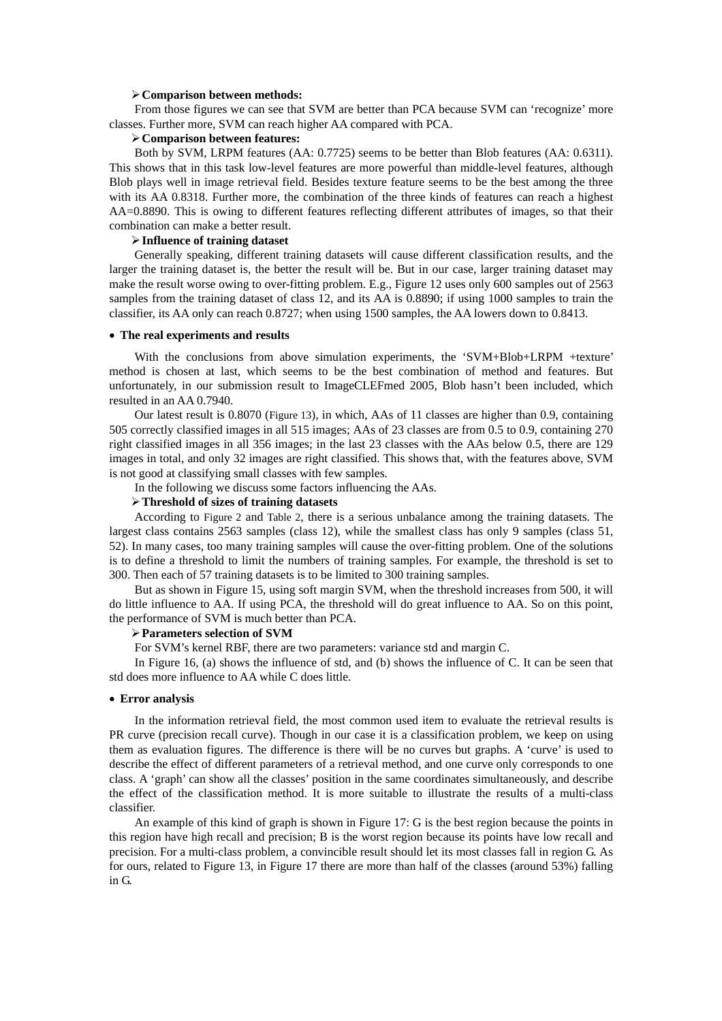#### ¾**Comparison between methods:**

From those figures we can see that SVM are better than PCA because SVM can 'recognize' more classes. Further more, SVM can reach higher AA compared with PCA.

# ¾**Comparison between features:**

Both by SVM, LRPM features (AA: 0.7725) seems to be better than Blob features (AA: 0.6311). This shows that in this task low-level features are more powerful than middle-level features, although Blob plays well in image retrieval field. Besides texture feature seems to be the best among the three with its AA 0.8318. Further more, the combination of the three kinds of features can reach a highest AA=0.8890. This is owing to different features reflecting different attributes of images, so that their combination can make a better result.

#### ¾**Influence of training dataset**

Generally speaking, different training datasets will cause different classification results, and the larger the training dataset is, the better the result will be. But in our case, larger training dataset may make the result worse owing to over-fitting problem. E.g., [Figure 12](#page-9-0) uses only 600 samples out of 2563 samples from the training dataset of class 12, and its AA is 0.8890; if using 1000 samples to train the classifier, its AA only can reach 0.8727; when using 1500 samples, the AA lowers down to 0.8413.

#### • **The real experiments and results**

With the conclusions from above simulation experiments, the 'SVM+Blob+LRPM +texture' method is chosen at last, which seems to be the best combination of method and features. But unfortunately, in our submission result to ImageCLEFmed 2005, Blob hasn't been included, which resulted in an AA 0.7940.

Our latest result is 0.8070 [\(Figure 13\)](#page-9-1), in which, AAs of 11 classes are higher than 0.9, containing 505 correctly classified images in all 515 images; AAs of 23 classes are from 0.5 to 0.9, containing 270 right classified images in all 356 images; in the last 23 classes with the AAs below 0.5, there are 129 images in total, and only 32 images are right classified. This shows that, with the features above, SVM is not good at classifying small classes with few samples.

In the following we discuss some factors influencing the AAs.

## ¾**Threshold of sizes of training datasets**

According to [Figure 2](#page-6-1) and [Table 2,](#page-10-0) there is a serious unbalance among the training datasets. The largest class contains 2563 samples (class 12), while the smallest class has only 9 samples (class 51, 52). In many cases, too many training samples will cause the over-fitting problem. One of the solutions is to define a threshold to limit the numbers of training samples. For example, the threshold is set to 300. Then each of 57 training datasets is to be limited to 300 training samples.

But as shown in [Figure 15,](#page-10-1) using soft margin SVM, when the threshold increases from 500, it will do little influence to AA. If using PCA, the threshold will do great influence to AA. So on this point, the performance of SVM is much better than PCA.

## ¾**Parameters selection of SVM**

For SVM's kernel RBF, there are two parameters: variance std and margin C.

In [Figure 16,](#page-10-1) (a) shows the influence of std, and (b) shows the influence of C. It can be seen that std does more influence to AA while C does little.

#### • **Error analysis**

In the information retrieval field, the most common used item to evaluate the retrieval results is PR curve (precision recall curve). Though in our case it is a classification problem, we keep on using them as evaluation figures. The difference is there will be no curves but graphs. A 'curve' is used to describe the effect of different parameters of a retrieval method, and one curve only corresponds to one class. A 'graph' can show all the classes' position in the same coordinates simultaneously, and describe the effect of the classification method. It is more suitable to illustrate the results of a multi-class classifier.

An example of this kind of graph is shown in [Figure 17:](#page-10-2) G is the best region because the points in this region have high recall and precision; B is the worst region because its points have low recall and precision. For a multi-class problem, a convincible result should let its most classes fall in region G. As for ours, related to [Figure 13,](#page-9-1) in [Figure 17](#page-10-2) there are more than half of the classes (around 53%) falling in G.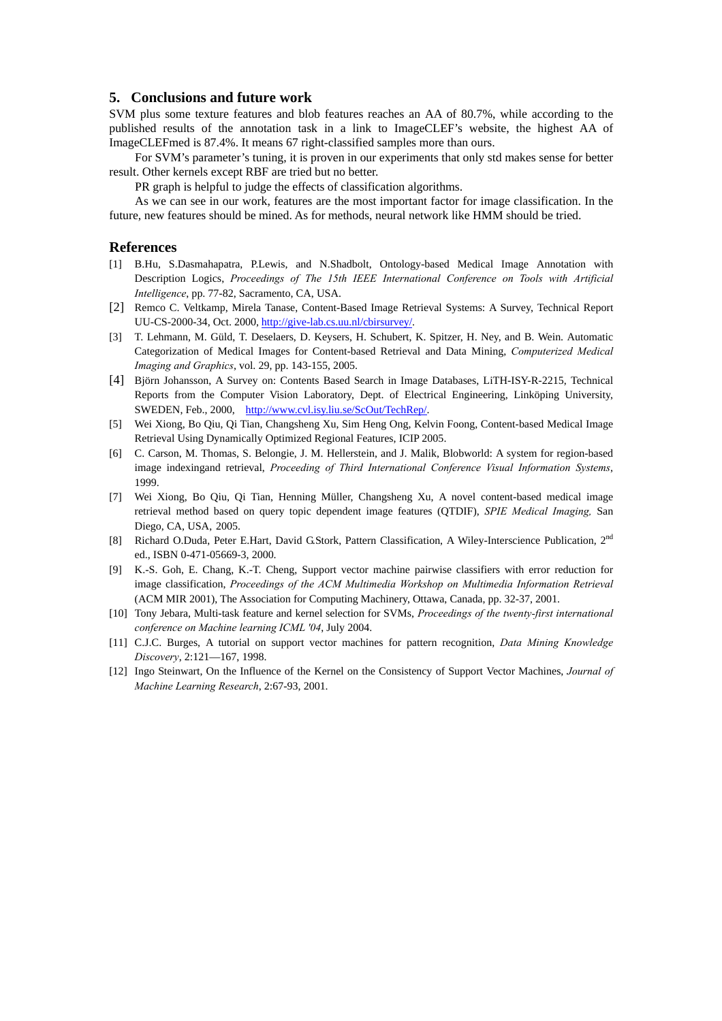# **5. Conclusions and future work**

SVM plus some texture features and blob features reaches an AA of 80.7%, while according to the published results of the annotation task in a link to ImageCLEF's website, the highest AA of ImageCLEFmed is 87.4%. It means 67 right-classified samples more than ours.

For SVM's parameter's tuning, it is proven in our experiments that only std makes sense for better result. Other kernels except RBF are tried but no better.

PR graph is helpful to judge the effects of classification algorithms.

As we can see in our work, features are the most important factor for image classification. In the future, new features should be mined. As for methods, neural network like HMM should be tried.

#### **References**

- <span id="page-5-0"></span>[1] B.Hu, S.Dasmahapatra, P.Lewis, and N.Shadbolt, Ontology-based Medical Image Annotation with Description Logics, *Proceedings of The 15th IEEE International Conference on Tools with Artificial Intelligence*, pp. 77-82, Sacramento, CA, USA.
- <span id="page-5-1"></span>[2] Remco C. Veltkamp, Mirela Tanase, Content-Based Image Retrieval Systems: A Survey, Technical Report UU-CS-2000-34, Oct. 2000, [http://give-lab.cs.uu.nl/cbirsurvey/.](http://give-lab.cs.uu.nl/cbirsurvey/)
- <span id="page-5-2"></span>[3] T. Lehmann, M. Güld, T. Deselaers, D. Keysers, H. Schubert, K. Spitzer, H. Ney, and B. Wein. Automatic Categorization of Medical Images for Content-based Retrieval and Data Mining, *[Computerized Medical](http://www.elsevier.com/wps/product/cws_home/292)  [Imaging and Graphics](http://www.elsevier.com/wps/product/cws_home/292)*, vol. 29, pp. 143-155, 2005.
- <span id="page-5-3"></span>[4] Björn Johansson, [A Survey on: Contents Based Search in Image Databases,](http://www.cvl.isy.liu.se/ScOut/TechRep/PaperInfo/bj2000.html) LiTH-ISY-R-2215, Technical Reports from the Computer Vision Laboratory, Dept. of Electrical Engineering, Linköping University, SWEDEN, Feb., 2000, [http://www.cvl.isy.liu.se/ScOut/TechRep/.](http://www.cvl.isy.liu.se/ScOut/TechRep/)
- <span id="page-5-10"></span>[5] Wei Xiong, Bo Qiu, Qi Tian, Changsheng Xu, Sim Heng Ong, Kelvin Foong, Content-based Medical Image Retrieval Using Dynamically Optimized Regional Features, ICIP 2005.
- <span id="page-5-4"></span>[6] C. Carson, M. Thomas, S. Belongie, J. M. Hellerstein, and J. Malik, Blobworld: A system for region-based image indexingand retrieval, *Proceeding of Third International Conference Visual Information Systems*, 1999.
- <span id="page-5-5"></span>[7] Wei Xiong, Bo Qiu, Qi Tian, Henning Müller, Changsheng Xu, A novel content-based medical image retrieval method based on query topic dependent image features (QTDIF), *SPIE Medical Imaging,* San Diego, CA, USA, 2005.
- <span id="page-5-6"></span>[8] Richard O.Duda, Peter E.Hart, David G.Stork, Pattern Classification, A Wiley-Interscience Publication, 2<sup>nd</sup> ed., ISBN 0-471-05669-3, 2000.
- <span id="page-5-7"></span>[9] K.-S. Goh, E. Chang, K.-T. Cheng, Support vector machine pairwise classifiers with error reduction for image classification, *Proceedings of the ACM Multimedia Workshop on Multimedia Information Retrieval* (ACM MIR 2001), The Association for Computing Machinery, Ottawa, Canada, pp. 32-37, 2001.
- <span id="page-5-8"></span>[10] Tony Jebara, [Multi-task feature and kernel selection for SVMs](http://portal.acm.org/citation.cfm?id=1015426&coll=GUIDE&dl=ACM&CFID=50881057&CFTOKEN=59027241), *Proceedings of the twenty-first international conference on Machine learning ICML '04*, July 2004.
- <span id="page-5-9"></span>[11] C.J.C. Burges, A tutorial on support vector machines for pattern recognition, *Data Mining Knowledge Discovery*, 2:121—167, 1998.
- <span id="page-5-11"></span>[12] Ingo Steinwart, On the Influence of the Kernel on the Consistency of Support Vector Machines, *Journal of Machine Learning Research*, 2:67-93, 2001.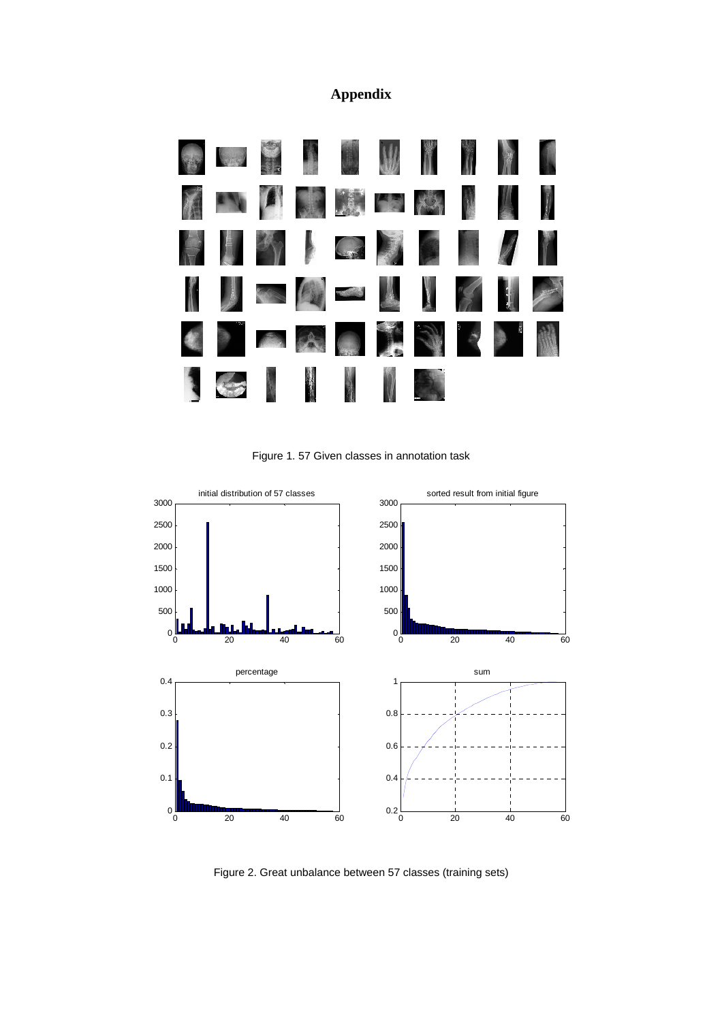# **Appendix**



Figure 1. 57 Given classes in annotation task

<span id="page-6-1"></span><span id="page-6-0"></span>

Figure 2. Great unbalance between 57 classes (training sets)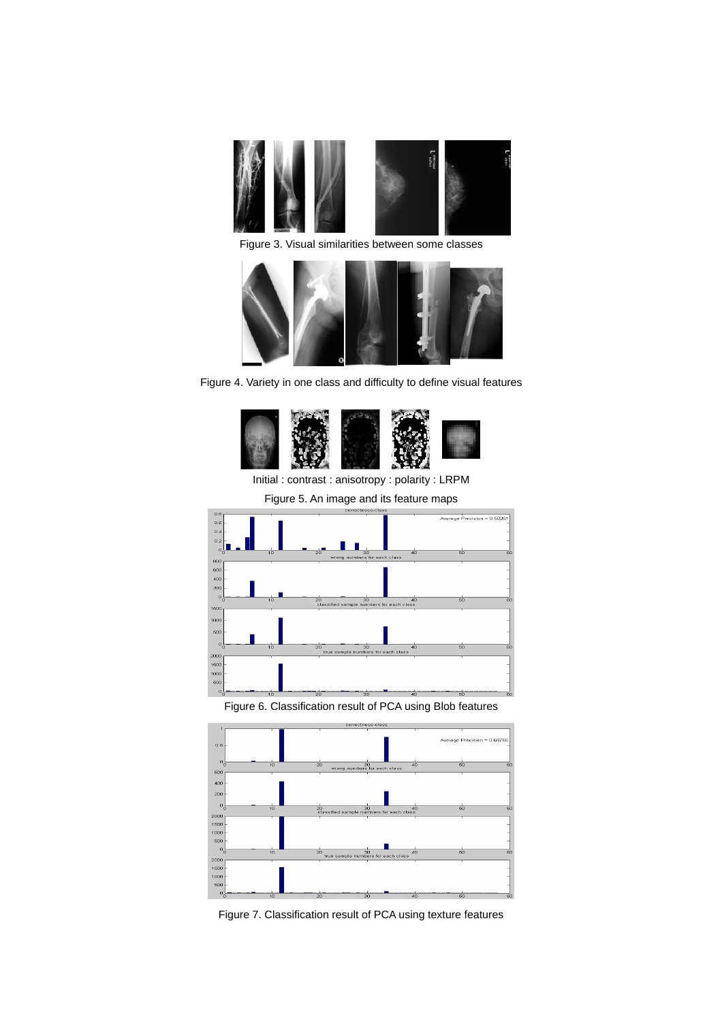

Figure 3. Visual similarities between some classes

<span id="page-7-0"></span>

Figure 4. Variety in one class and difficulty to define visual features

<span id="page-7-1"></span>

<span id="page-7-2"></span>Initial : contrast : anisotropy : polarity : LRPM

<span id="page-7-3"></span>

Figure 6. Classification result of PCA using Blob features

<span id="page-7-4"></span>

Figure 7. Classification result of PCA using texture features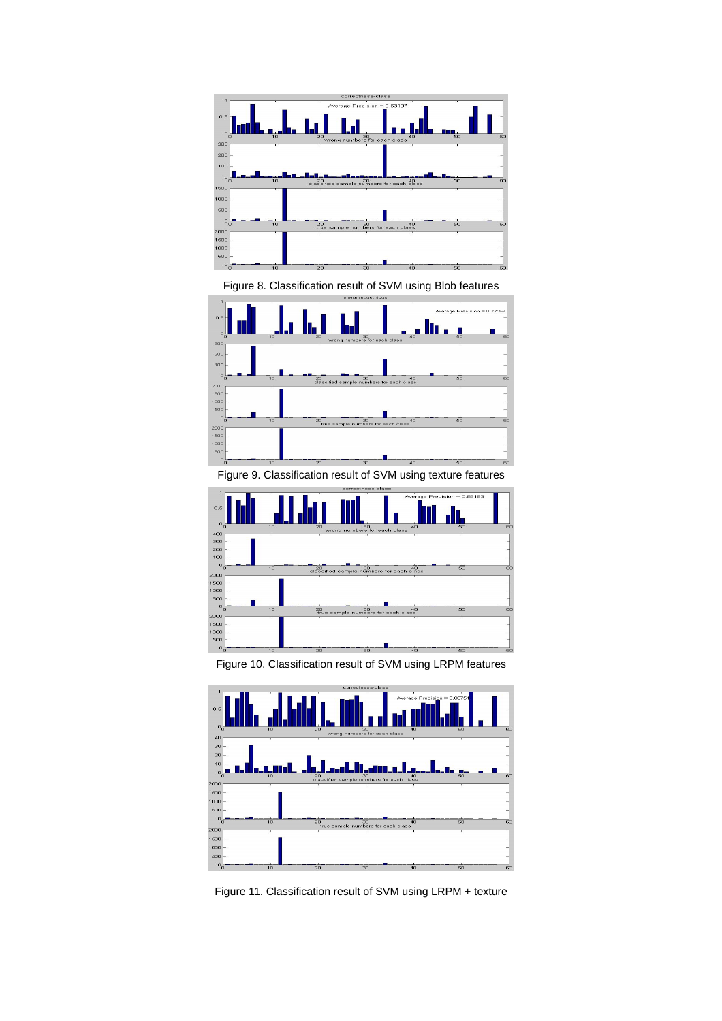<span id="page-8-0"></span>

Figure 8. Classification result of SVM using Blob features

<span id="page-8-1"></span>

Figure 9. Classification result of SVM using texture features

<span id="page-8-2"></span>

Figure 10. Classification result of SVM using LRPM features

<span id="page-8-3"></span>

Figure 11. Classification result of SVM using LRPM + texture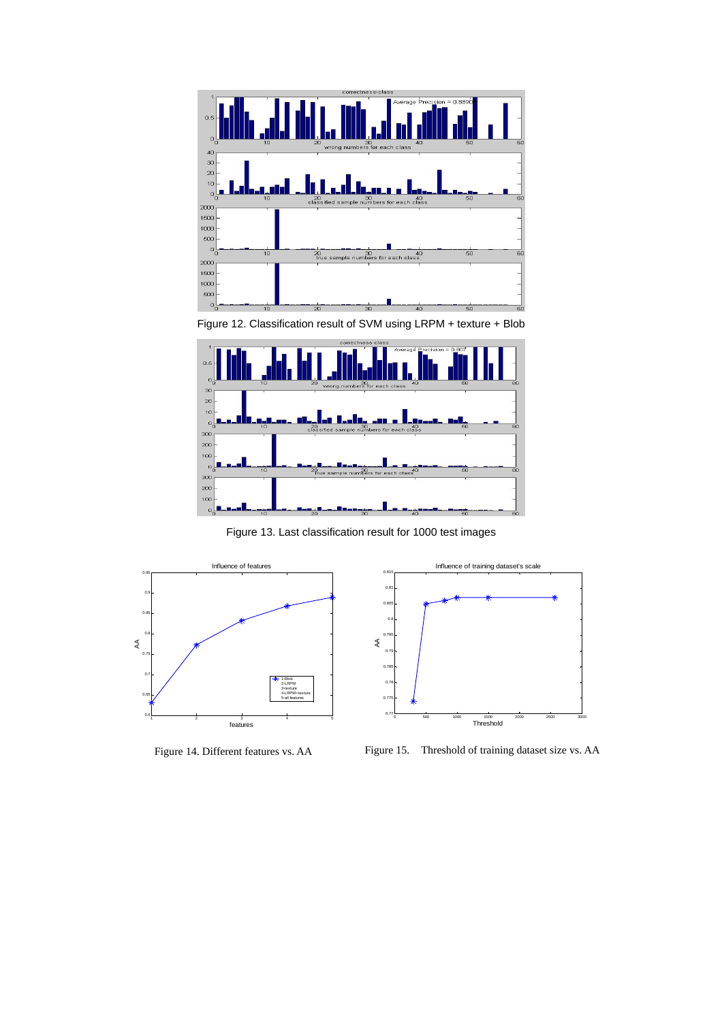<span id="page-9-0"></span>

<span id="page-9-1"></span>Figure 12. Classification result of SVM using LRPM + texture + Blob



Figure 13. Last classification result for 1000 test images



Figure 14. Different features vs. AA



Figure 15. Threshold of training dataset size vs. AA